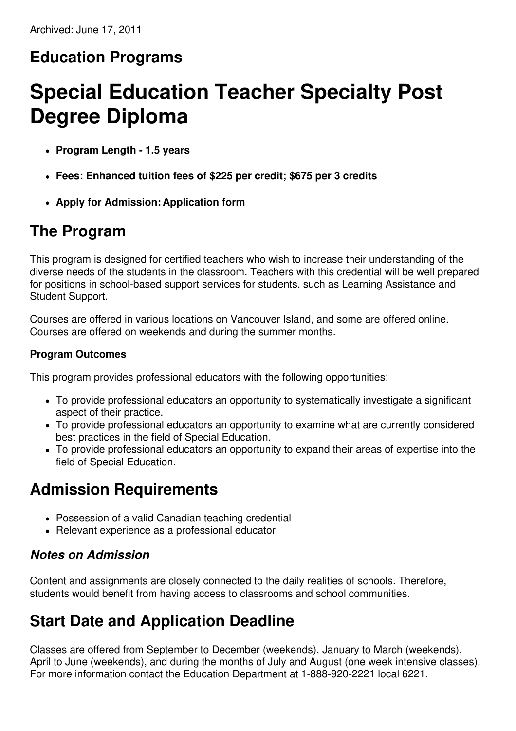#### **Education Programs**

# **Special Education Teacher Specialty Post Degree Diploma**

- **Program Length - 1.5 years**
- **Fees: Enhanced tuition fees of \$225 per credit; \$675 per 3 credits**
- **Apply for Admission: Application form**

#### **The Program**

This program is designed for certified teachers who wish to increase their understanding of the diverse needs of the students in the classroom. Teachers with this credential will be well prepared for positions in school-based support services for students, such as Learning Assistance and Student Support.

Courses are offered in various locations on Vancouver Island, and some are offered online. Courses are offered on weekends and during the summer months.

#### **Program Outcomes**

This program provides professional educators with the following opportunities:

- To provide professional educators an opportunity to systematically investigate a significant aspect of their practice.
- To provide professional educators an opportunity to examine what are currently considered best practices in the field of Special Education.
- To provide professional educators an opportunity to expand their areas of expertise into the field of Special Education.

#### **Admission Requirements**

- Possession of a valid Canadian teaching credential
- Relevant experience as a professional educator

#### *Notes on Admission*

Content and assignments are closely connected to the daily realities of schools. Therefore, students would benefit from having access to classrooms and school communities.

## **Start Date and Application Deadline**

Classes are offered from September to December (weekends), January to March (weekends), April to June (weekends), and during the months of July and August (one week intensive classes). For more information contact the Education Department at 1-888-920-2221 local 6221.